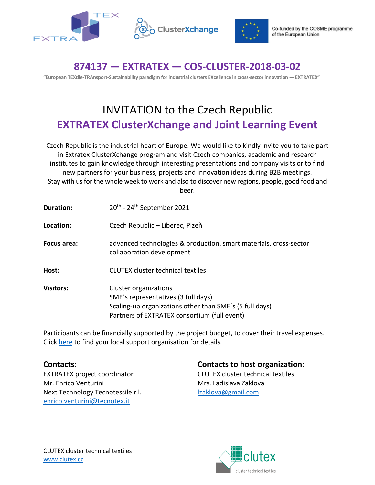



## **874137 — EXTRATEX — COS-CLUSTER-2018-03-02**

**"European TEXtile-TRAnsport-Sustainability paradigm for industrial clusters EXcellence in cross-sector innovation — EXTRATEX"** 

## INVITATION to the Czech Republic **EXTRATEX ClusterXchange and Joint Learning Event**

Czech Republic is the industrial heart of Europe. We would like to kindly invite you to take part in Extratex ClusterXchange program and visit Czech companies, academic and research institutes to gain knowledge through interesting presentations and company visits or to find new partners for your business, projects and innovation ideas during B2B meetings. Stay with us for the whole week to work and also to discover new regions, people, good food and beer.

| <b>Duration:</b> | 20 <sup>th</sup> - 24 <sup>th</sup> September 2021                                                                                                                      |
|------------------|-------------------------------------------------------------------------------------------------------------------------------------------------------------------------|
| Location:        | Czech Republic – Liberec, Plzeň                                                                                                                                         |
| Focus area:      | advanced technologies & production, smart materials, cross-sector<br>collaboration development                                                                          |
| Host:            | <b>CLUTEX cluster technical textiles</b>                                                                                                                                |
| <b>Visitors:</b> | Cluster organizations<br>SME's representatives (3 full days)<br>Scaling-up organizations other than SME's (5 full days)<br>Partners of EXTRATEX consortium (full event) |

Participants can be financially supported by the project budget, to cover their travel expenses. Click [here](https://extratex.eu-vri.eu/home.aspx?lan=230&tab=3164&itm=3164&pag=3166) to find your local support organisation for details.

EXTRATEX project coordinator CLUTEX cluster technical textiles Mr. Enrico Venturini Mrs. Ladislava Zaklova Next Technology Tecnotessile r.l. [lzaklova@gmail.com](mailto:lzaklova@gmail.com) [enrico.venturini@tecnotex.it](mailto:enrico.venturini@tecnotex.it)

**Contacts: Contacts to host organization:**

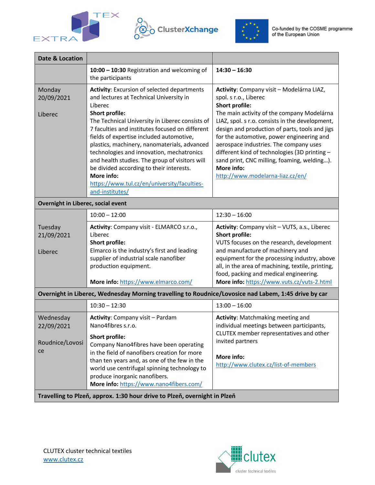





| <b>Date &amp; Location</b>                                                                           |                                                                                                                                                                                                                                                                                                                                                                                                                                                                                                                                                         |                                                                                                                                                                                                                                                                                                                                                                                                                                                                                         |  |  |
|------------------------------------------------------------------------------------------------------|---------------------------------------------------------------------------------------------------------------------------------------------------------------------------------------------------------------------------------------------------------------------------------------------------------------------------------------------------------------------------------------------------------------------------------------------------------------------------------------------------------------------------------------------------------|-----------------------------------------------------------------------------------------------------------------------------------------------------------------------------------------------------------------------------------------------------------------------------------------------------------------------------------------------------------------------------------------------------------------------------------------------------------------------------------------|--|--|
|                                                                                                      | 10:00 - 10:30 Registration and welcoming of<br>the participants                                                                                                                                                                                                                                                                                                                                                                                                                                                                                         | $14:30 - 16:30$                                                                                                                                                                                                                                                                                                                                                                                                                                                                         |  |  |
| Monday<br>20/09/2021<br>Liberec                                                                      | <b>Activity: Excursion of selected departments</b><br>and lectures at Technical University in<br>Liberec<br>Short profile:<br>The Technical University in Liberec consists of<br>7 faculties and institutes focused on different<br>fields of expertise included automotive,<br>plastics, machinery, nanomaterials, advanced<br>technologies and innovation, mechatronics<br>and health studies. The group of visitors will<br>be divided according to their interests.<br>More info:<br>https://www.tul.cz/en/university/faculties-<br>and-institutes/ | Activity: Company visit - Modelárna LIAZ,<br>spol. s r.o., Liberec<br><b>Short profile:</b><br>The main activity of the company Modelárna<br>LIAZ, spol. s r.o. consists in the development,<br>design and production of parts, tools and jigs<br>for the automotive, power engineering and<br>aerospace industries. The company uses<br>different kind of technologies (3D printing -<br>sand print, CNC milling, foaming, welding).<br>More info:<br>http://www.modelarna-liaz.cz/en/ |  |  |
| Overnight in Liberec, social event                                                                   |                                                                                                                                                                                                                                                                                                                                                                                                                                                                                                                                                         |                                                                                                                                                                                                                                                                                                                                                                                                                                                                                         |  |  |
|                                                                                                      | $10:00 - 12:00$                                                                                                                                                                                                                                                                                                                                                                                                                                                                                                                                         | $12:30 - 16:00$                                                                                                                                                                                                                                                                                                                                                                                                                                                                         |  |  |
| Tuesday<br>21/09/2021<br>Liberec                                                                     | Activity: Company visit - ELMARCO s.r.o.,<br>Liberec<br>Short profile:<br>Elmarco is the industry's first and leading<br>supplier of industrial scale nanofiber<br>production equipment.<br>More info: https://www.elmarco.com/                                                                                                                                                                                                                                                                                                                         | Activity: Company visit - VUTS, a.s., Liberec<br><b>Short profile:</b><br>VUTS focuses on the research, development<br>and manufacture of machinery and<br>equipment for the processing industry, above<br>all, in the area of machining, textile, printing,<br>food, packing and medical engineering.<br>More info: https://www.vuts.cz/vuts-2.html                                                                                                                                    |  |  |
| Overnight in Liberec, Wednesday Morning travelling to Roudnice/Lovosice nad Labem, 1:45 drive by car |                                                                                                                                                                                                                                                                                                                                                                                                                                                                                                                                                         |                                                                                                                                                                                                                                                                                                                                                                                                                                                                                         |  |  |
|                                                                                                      | $10:30 - 12:30$                                                                                                                                                                                                                                                                                                                                                                                                                                                                                                                                         | $13:00 - 16:00$                                                                                                                                                                                                                                                                                                                                                                                                                                                                         |  |  |
| Wednesday<br>22/09/2021<br>Roudnice/Lovosi<br>ce                                                     | Activity: Company visit - Pardam<br>Nano4fibres s.r.o.<br>Short profile:<br>Company Nano4fibres have been operating<br>in the field of nanofibers creation for more<br>than ten years and, as one of the few in the<br>world use centrifugal spinning technology to<br>produce inorganic nanofibers.<br>More info: https://www.nano4fibers.com/                                                                                                                                                                                                         | <b>Activity: Matchmaking meeting and</b><br>individual meetings between participants,<br>CLUTEX member representatives and other<br>invited partners<br>More info:<br>http://www.clutex.cz/list-of-members                                                                                                                                                                                                                                                                              |  |  |
| Travelling to Plzeň, approx. 1:30 hour drive to Plzeň, overnight in Plzeň                            |                                                                                                                                                                                                                                                                                                                                                                                                                                                                                                                                                         |                                                                                                                                                                                                                                                                                                                                                                                                                                                                                         |  |  |